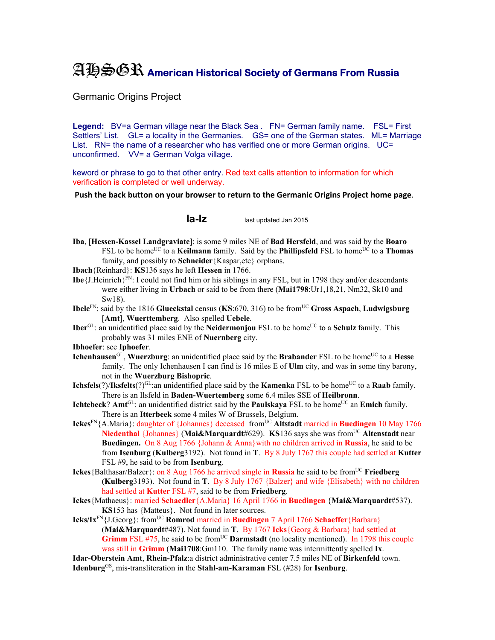## AHSGR **American Historical Society of Germans From Russia**

Germanic Origins Project

Legend: BV=a German village near the Black Sea . FN= German family name. FSL= First Settlers' List. GL= a locality in the Germanies. GS= one of the German states. ML= Marriage List. RN= the name of a researcher who has verified one or more German origins. UC= unconfirmed. VV= a German Volga village.

keword or phrase to go to that other entry. Red text calls attention to information for which verification is completed or well underway.

**Push the back button on your browser to return to the Germanic Origins Project home page**.

**Ia-Iz** last updated Jan 2015

- **Iba**, [**Hessen-Kassel Landgraviate**]: is some 9 miles NE of **Bad Hersfeld**, and was said by the **Boaro** FSL to be home<sup>UC</sup> to a **Keilmann** family. Said by the **Phillipsfeld** FSL to home<sup>UC</sup> to a **Thomas** family, and possibly to **Schneider**{Kaspar,etc} orphans.
- **Ibach**{Reinhard}: **KS**136 says he left **Hessen** in 1766.
- **Ibe**  $\{J\}$ . Heinrich $\{F^N\}$ : I could not find him or his siblings in any FSL, but in 1798 they and/or descendants were either living in **Urbach** or said to be from there (**Mai1798**:Ur1,18,21, Nm32, Sk10 and Sw18).
- **Ibele**<sup>FN</sup>: said by the 1816 **Glueckstal** census (**KS**:670, 316) to be from<sup>UC</sup> Gross Aspach, Ludwigsburg [**Amt**], **Wuerttemberg**. Also spelled **Uebele**.
- **Iber**<sup>GL</sup>: an unidentified place said by the **Neidermonjou** FSL to be home<sup>UC</sup> to a **Schulz** family. This probably was 31 miles ENE of **Nuernberg** city.

**Ibhoefer**: see **Iphoefer**.

- **Ichenhausen**<sup>GL</sup>, **Wuerzburg**: an unidentified place said by the **Brabander** FSL to be home<sup>UC</sup> to a **Hesse** family. The only Ichenhausen I can find is 16 miles E of **Ulm** city, and was in some tiny barony, not in the **Wuerzburg Bishopric**.
- **Ichsfels**(?)/**Iksfelts**(?)<sup>GL</sup>:an unidentified place said by the **Kamenka** FSL to be home<sup>UC</sup> to a **Raab** family. There is an Ilsfeld in **Baden-Wuertemberg** some 6.4 miles SSE of **Heilbronn**.
- **Ichtebeck**? **Amt**<sup>GL</sup>: an unidentified district said by the **Paulskaya** FSL to be home<sup>UC</sup> an **Emich** family. There is an **Itterbeek** some 4 miles W of Brussels, Belgium.
- **Ickes**<sup>FN</sup>{A.Maria}: daughter of {Johannes} deceased from<sup>UC</sup> **Altstadt** married in **Buedingen** 10 May 1766 **Niedenthal** {Johannes} (Mai&Marquardt#629). **KS**136 says she was from<sup>UC</sup> Altenstadt near **Buedingen.** On 8 Aug 1766 {Johann & Anna}with no children arrived in **Russia**, he said to be from **Isenburg** (**Kulberg**3192). Not found in **T**. By 8 July 1767 this couple had settled at **Kutter** FSL #9, he said to be from **Isenburg**.
- **Ickes** {Balthasar/Balzer}: on 8 Aug 1766 he arrived single in **Russia** he said to be from<sup>UC</sup> **Friedberg (Kulberg**3193). Not found in **T**. By 8 July 1767 {Balzer} and wife {Elisabeth} with no children had settled at **Kutter** FSL #7, said to be from **Friedberg**.
- **Ickes**{Mathaeus}: married **Schaedler**{A.Maria} 16 April 1766 in **Buedingen** {**Mai&Marquardt**#537). **KS**153 has {Matteus}. Not found in later sources.
- **Icks/Ix**<sup>FN</sup>{J.Georg}: from<sup>UC</sup> **Romrod** married in **Buedingen** 7 April 1766 **Schaeffer** {Barbara} (**Mai&Marquardt**#487). Not found in **T**. By 1767 **Icks**{Georg & Barbara} had settled at **Grimm** FSL  $#75$ , he said to be from<sup>UC</sup> **Darmstadt** (no locality mentioned). In 1798 this couple was still in **Grimm** (**Mai1708**:Gm110. The family name was intermittently spelled **Ix**.

**Idar-Oberstein Amt**, **Rhein-Pfalz**:a district administrative center 7.5 miles NE of **Birkenfeld** town. **Idenburg**GS, mis-transliteration in the **Stahl-am-Karaman** FSL (#28) for **Isenburg**.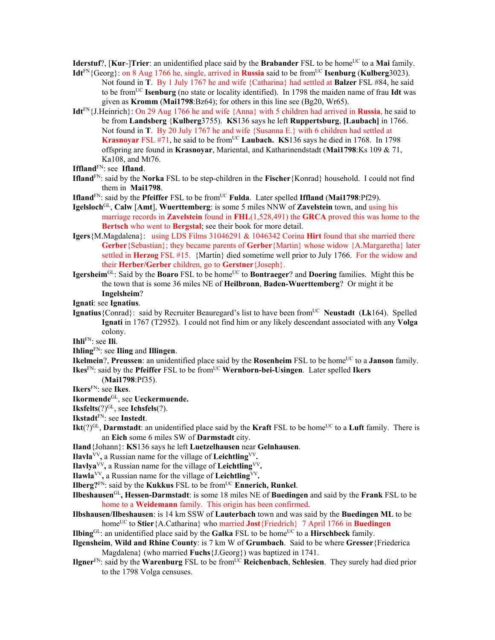**Iderstuf**?, [**Kur-**]Trier: an unidentified place said by the **Brabander** FSL to be home<sup>UC</sup> to a **Mai** family.

- **Idt**<sup>FN</sup>{Georg}: on 8 Aug 1766 he, single, arrived in **Russia** said to be from<sup>UC</sup> **Isenburg (Kulberg**3023). Not found in **T**. By 1 July 1767 he and wife {Catharina} had settled at **Balzer** FSL #84, he said to be fromUC **Isenburg** (no state or locality identified). In 1798 the maiden name of frau **Idt** was given as **Kromm** (**Mai1798**:Bz64); for others in this line see (Bg20, Wr65).
- **Idt**FN{J.Heinrich}: On 29 Aug 1766 he and wife {Anna} with 5 children had arrived in **Russia**, he said to be from **Landsberg** {**Kulberg**3755). **KS**136 says he left **Ruppertsburg**, **[Laubach]** in 1766. Not found in **T**. By 20 July 1767 he and wife {Susanna E.} with 6 children had settled at **Krasnoyar** FSL  $#71$ , he said to be from<sup>UC</sup> **Laubach. KS**136 says he died in 1768. In 1798 offspring are found in **Krasnoyar**, Mariental, and Katharinendstadt (**Mai1798**:Ks 109 & 71, Ka108, and Mt76.

**Iffland**FN: see **Ifland**.

- **Ifland**FN: said by the **Norka** FSL to be step-children in the **Fischer**{Konrad} household. I could not find them in **Mai1798**.
- **Ifland**<sup>FN</sup>: said by the **Pfeiffer** FSL to be from<sup>UC</sup> **Fulda**. Later spelled **Iffland** (Mai1798:Pf29).
- **Igelsloch**GL, **Calw** [**Amt**], **Wuerttemberg**: is some 5 miles NNW of **Zavelstein** town, and using his marriage records in **Zavelstein** found in **FHL**(1,528,491) the **GRCA** proved this was home to the **Bertsch** who went to **Bergstal**; see their book for more detail.
- **Igers**{M.Magdalena}: using LDS Films 31046291 & 1046342 Corina **Hirt** found that she married there **Gerber**{Sebastian}; they became parents of **Gerber**{Martin} whose widow {A.Margaretha} later settled in **Herzog** FSL #15. {Martin} died sometime well prior to July 1766. For the widow and their **Herber/Gerber** children, go to **Gerstner**{Joseph}.
- **Igersheim**<sup>GL</sup>: Said by the **Boaro** FSL to be home<sup>UC</sup> to **Bontraeger**? and **Doering** families. Might this be the town that is some 36 miles NE of **Heilbronn**, **Baden-Wuerttemberg**? Or might it be **Ingelsheim**?
- **Ignati**: see **Ignatius**.
- **Ignatius** { Conrad }: said by Recruiter Beauregard's list to have been from<sup>UC</sup> Neustadt (Lk164). Spelled **Ignati** in 1767 (T2952). I could not find him or any likely descendant associated with any **Volga** colony.

**Ihli**FN: see **Ili**.

**Ihling**FN: see **Iling** and **Illingen**.

**Ikelmein**?, **Preussen**: an unidentified place said by the **Rosenheim** FSL to be home<sup>UC</sup> to a **Janson** family. **Ikes**<sup>FN</sup>: said by the **Pfeiffer** FSL to be from<sup>UC</sup> **Wernborn-bei-Usingen**. Later spelled **Ikers** 

(**Mai1798**:Pf35).

**Ikers**FN: see **Ikes**.

**Ikormende**GL, see **Ueckermuende.** 

**Iksfelts**(?)GL, see **Ichsfels**(?).

**Ikstadt**FN: see **Instedt**.

**Ikt**( $?$ )<sup>GL</sup>, **Darmstadt**: an unidentified place said by the **Kraft** FSL to be home<sup>UC</sup> to a **Luft** family. There is an **Eich** some 6 miles SW of **Darmstadt** city.

**Iland**{Johann}: **KS**136 says he left **Luetzelhausen** near **Gelnhausen**.

**Ilavla**VV**,** a Russian name for the village of **Leichtling**VV**.** 

**Ilavlya**<sup>VV</sup>, a Russian name for the village of Leichtling<sup>VV</sup>.

**Ilawla**<sup>VV</sup>, a Russian name for the village of Leichtling<sup>VV</sup>.

**Ilberg?** $F_N$ : said by the **Kukkus** FSL to be from  $UC$  **Ennerich, Runkel**.

- **Ilbeshausen**GL**, Hessen-Darmstadt**: is some 18 miles NE of **Buedingen** and said by the **Frank** FSL to be home to a **Weidemann** family. This origin has been confirmed.
- **Ilbshausen/Ilbeshausen**: is 14 km SSW of **Lauterbach** town and was said by the **Buedingen ML** to be home<sup>UC</sup> to **Stier**{A.Catharina} who married **Jost**{Friedrich} 7 April 1766 in **Buedingen**

**Ilbing**GL: an unidentified place said by the **Galka** FSL to be home<sup>UC</sup> to a **Hirschbeck** family.

- **Ilgensheim**, **Wild and Rhine County**: is 7 km W of **Grumbach**. Said to be where **Gresser**{Friederica Magdalena} (who married **Fuchs**{J.Georg}) was baptized in 1741.
- **Ilgner**<sup>FN</sup>: said by the **Warenburg** FSL to be from<sup>UC</sup> **Reichenbach**, **Schlesien**. They surely had died prior to the 1798 Volga censuses.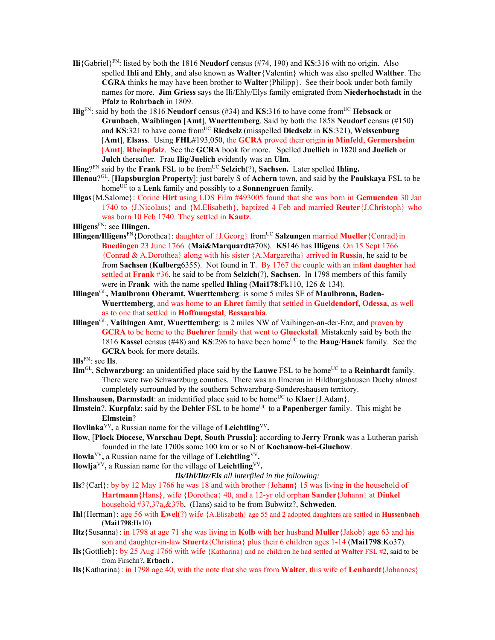- **Ili**{Gabriel}FN: listed by both the 1816 **Neudorf** census (#74, 190) and **KS**:316 with no origin. Also spelled **Ihli** and **Ehly**, and also known as **Walter**{Valentin} which was also spelled **Walther**. The **CGRA** thinks he may have been brother to **Walter**{Philipp}. See their book under both family names for more. **Jim Griess** says the Ili/Ehly/Elys family emigrated from **Niederhochstadt** in the **Pfalz** to **Rohrbach** in 1809.
- **Ilig**<sup>FN</sup>: said by both the 1816 **Neudorf** census (#34) and **KS**:316 to have come from<sup>UC</sup> **Hebsack** or **Grunbach**, **Waiblingen** [**Amt**], **Wuerttemberg**. Said by both the 1858 **Neudorf** census (#150) and **KS**:321 to have come fromUC **Riedselz** (misspelled **Diedselz** in **KS**:321), **Weissenburg** [**Amt**], **Elsass**. Using **FHL**#193,050, the **GCRA** proved their origin in **Minfeld**, **Germersheim** [**Amt**], **Rheinpfalz**. See the **GCRA** book for more. Spelled **Juellich** in 1820 and **Juelich** or **Julch** thereafter. Frau **Ilig**/**Juelich** evidently was an **Ulm**.
- **Iling**?<sup>FN</sup> said by the **Frank** FSL to be from<sup>UC</sup> **Selzich**(?), **Sachsen.** Later spelled **Ihling.**
- **Illenau**?GL, [**Hapsburgian Property**]: just barely S of **Achern** town, and said by the **Paulskaya** FSL to be homeUC to a **Lenk** family and possibly to a **Sonnengruen** family.
- **Illgas**{M.Salome}: Corine **Hirt** using LDS Film #493005 found that she was born in **Gemuenden** 30 Jan 1740 to {J.Nicolaus} and {M.Elisabeth}, baptized 4 Feb and married **Reuter**{J.Christoph} who was born 10 Feb 1740. They settled in **Kautz**.
- **Illigens**FN: see **Illingen.**
- **Illingen/Illigens**<sup>FN</sup>{Dorothea}: daughter of {J.Georg} from<sup>UC</sup> **Salzungen** married **Mueller**{Conrad}in **Buedingen** 23 June 1766 (**Mai&Marquardt**#708). **KS**146 has **Illigens**. On 15 Sept 1766 {Conrad & A.Dorothea} along with his sister {A.Margaretha} arrived in **Russia**, he said to be from **Sachsen** (**Kulberg**6355). Not found in **T**. By 1767 the couple with an infant daughter had settled at **Frank** #36, he said to be from **Selzich**(?), **Sachsen**. In 1798 members of this family were in **Frank** with the name spelled **Ihling** (**Mai178**:Fk110, 126 & 134).
- **Illingen**GL**, Maulbronn Oberamt, Wuerttemberg**: is some 5 miles SE of **Maulbronn, Baden-Wuerttemberg**, and was home to an **Ehret** family that settled in **Gueldendorf, Odessa**, as well as to one that settled in **Hoffnungstal**, **Bessarabia**.
- **Illingen**GL, **Vaihingen Amt**, **Wuerttemberg**: is 2 miles NW of Vaihingen-an-der-Enz, and proven by **GCRA** to be home to the **Buehrer** family that went to **Glueckstal**. Mistakenly said by both the 1816 **Kassel** census (#48) and **KS**:296 to have been homeUC to the **Haug**/**Hauck** family. See the **GCRA** book for more details.
- **Ills**FN: see **Ils**.
- **Ilm**<sup>GL</sup>, **Schwarzburg**: an unidentified place said by the **Lauwe** FSL to be home<sup>UC</sup> to a **Reinhardt** family. There were two Schwarzburg counties. There was an Ilmenau in Hildburgshausen Duchy almost completely surrounded by the southern Schwarzburg-Sondereshausen territory.
- **Ilmshausen, Darmstadt**: an inidentified place said to be home<sup>UC</sup> to **Klaer**{J.Adam}.
- **Ilmstein**?, **Kurpfalz**: said by the **Dehler** FSL to be home<sup>UC</sup> to a **Papenberger** family. This might be **Elmstein**?
- **Ilovlinka**<sup>VV</sup>, a Russian name for the village of Leichtling<sup>VV</sup>.
- **Ilow**, [**Plock Diocese**, **Warschau Dept**, **South Prussia**]: according to **Jerry Frank** was a Lutheran parish founded in the late 1700s some 100 km or so N of **Kochanow**-**bei**-**Gluchow**.
- **Ilowla**<sup>VV</sup>, a Russian name for the village of **Leichtling**<sup>VV</sup>.
- **Ilowlja**<sup>VV</sup>, a Russian name for the village of Leichtling<sup>VV</sup>.

- **Ils**?{Carl}: by by 12 May 1766 he was 18 and with brother {Johann} 15 was living in the household of **Hartmann**{Hans}, wife {Dorothea} 40, and a 12-yr old orphan **Sander**{Johann} at **Dinkel**  household #37,37a,&37b, (Hans) said to be from Bubwitz?, **Schweden**.
- **Ihl**{Herman}: age 56 with **Ewel**(?) wife {A.Elisabeth} age 55 and 2 adopted daughters are settled in **Hussenbach** (**Mai1798**:Hs10).
- **Iltz**{Susanna}: in 1798 at age 71 she was living in **Kolb** with her husband **Muller**{Jakob} age 63 and his son and daughter-in-law **Stuertz**{Christina} plus their 6 children ages 1-14 (**Mai1798**:Ko37).
- **Ils**{Gottlieb}: by 25 Aug 1766 with wife {Katharina} and no children he had settled at **Walter** FSL #2, said to be from Firschn?, **Erbach .**
- **Ils**{Katharina}: in 1798 age 40, with the note that she was from **Walter**, this wife of **Lenhardt**{Johannes}

*Ils/Ihl/Iltz/Els all interfiled in the following:*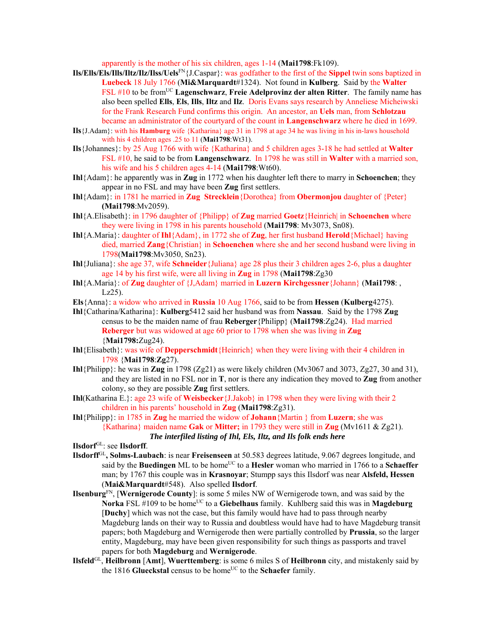apparently is the mother of his six children, ages 1-14 (**Mai1798**:Fk109).

- **Ils/Ells/Els/Ills/Iltz/Ilz/Ilss/Uels**FN{J.Caspar}: was godfather to the first of the **Sippel** twin sons baptized in **Luebeck** 18 July 1766 (**Mi&Marquardt**#1324). Not found in **Kulberg**. Said by the **Walter**  FSL #10 to be fromUC **Lagenschwarz**, **Freie Adelprovinz der alten Ritter**. The family name has also been spelled **Ells**, **Els**, **Ills**, **Iltz** and **Ilz**. Doris Evans says research by Anneliese Micheiwski for the Frank Research Fund confirms this origin. An ancestor, an **Uels** man, from **Schlotzau** became an administrator of the courtyard of the count in **Langenschwarz** where he died in 1699.
- **Ils**{J.Adam}: with his **Hamburg** wife {Katharina} age 31 in 1798 at age 34 he was living in his in-laws household with his 4 children ages .25 to 11 (**Mai1798**:Wt31).
- **Ils**{Johannes}: by 25 Aug 1766 with wife {Katharina} and 5 children ages 3-18 he had settled at **Walter**  FSL #10, he said to be from **Langenschwarz**. In 1798 he was still in **Walter** with a married son, his wife and his 5 children ages 4-14 (**Mai1798**:Wt60).
- **Ihl**{Adam}: he apparently was in **Zug** in 1772 when his daughter left there to marry in **Schoenchen**; they appear in no FSL and may have been **Zug** first settlers.
- **Ihl**{Adam}: in 1781 he married in **Zug Strecklein**{Dorothea} from **Obermonjou** daughter of {Peter} **(Mai1798**:Mv2059).
- **Ihl**{A.Elisabeth}: in 1796 daughter of {Philipp} of **Zug** married **Goetz**{Heinrich| in **Schoenchen** where they were living in 1798 in his parents household (**Mai1798**: Mv3073, Sn08).
- **Ihl**{A.Maria}: daughter of **Ihl**{Adam}, in 1772 she of **Zug**, her first husband **Herold**{Michael} having died, married **Zang**{Christian} in **Schoenchen** where she and her second husband were living in 1798(**Mai1798**:Mv3050, Sn23).
- **Ihl**{Juliana}: she age 37, wife **Schneider**{Juliana} age 28 plus their 3 children ages 2-6, plus a daughter age 14 by his first wife, were all living in **Zug** in 1798 (**Mai1798**:Zg30
- **Ihl**{A.Maria}: of **Zug** daughter of {J,Adam} married in **Luzern Kirchgessner**{Johann} (**Mai1798**: ,  $Lz25$ ).
- **Els**{Anna}: a widow who arrived in **Russia** 10 Aug 1766, said to be from **Hessen** (**Kulberg**4275).
- **Ihl**{Catharina/Katharina}: **Kulberg**5412 said her husband was from **Nassau**. Said by the 1798 **Zug** census to be the maiden name of frau **Reberger**{Philipp} (**Mai1798**:Zg24). Had married **Reberger** but was widowed at age 60 prior to 1798 when she was living in **Zug**  {**Mai1798:**Zug24).
- **Ihl**{Elisabeth}: was wife of **Depperschmidt**{Heinrich} when they were living with their 4 children in 1798 {**Mai1798**:**Zg**27).
- **Ihl**{Philipp}: he was in **Zug** in 1798 (Zg21) as were likely children (Mv3067 and 3073, Zg27, 30 and 31), and they are listed in no FSL nor in **T**, nor is there any indication they moved to **Zug** from another colony, so they are possible **Zug** first settlers.
- **Ihl**(Katharina E.}: age 23 wife of **Weisbecker**{J.Jakob} in 1798 when they were living with their 2 children in his parents' household in **Zug** (**Mai1798**:Zg31).
- **Ihl**{Philipp}: in 1785 in **Zug** he married the widow of **Johann**{Martin } from **Luzern**; she was {Katharina} maiden name **Gak** or **Mitter;** in 1793 they were still in **Zug** (Mv1611 & Zg21). *The interfiled listing of Ihl, Els, Iltz, and Ils folk ends here*
- **Ilsdorf**GL: see **Ilsdorff**.
- **Ilsdorff**GL**, Solms-Laubach**: is near **Freisenseen** at 50.583 degrees latitude, 9.067 degrees longitude, and said by the **Buedingen** ML to be home<sup>UC</sup> to a **Hesler** woman who married in 1766 to a **Schaeffer** man; by 1767 this couple was in **Krasnoyar**; Stumpp says this Ilsdorf was near **Alsfeld, Hessen** (**Mai&Marquardt**#548). Also spelled **Ilsdorf**.
- **Ilsenburg**FN, [**Wernigerode County**]: is some 5 miles NW of Wernigerode town, and was said by the **Norka** FSL #109 to be home<sup>UC</sup> to a **Giebelhaus** family. Kuhlberg said this was in **Magdeburg** [**Duchy**] which was not the case, but this family would have had to pass through nearby Magdeburg lands on their way to Russia and doubtless would have had to have Magdeburg transit papers; both Magdeburg and Wernigerode then were partially controlled by **Prussia**, so the larger entity, Magdeburg, may have been given responsibility for such things as passports and travel papers for both **Magdeburg** and **Wernigerode**.
- **Ilsfeld**GL, **Heilbronn** [**Amt**], **Wuerttemberg**: is some 6 miles S of **Heilbronn** city, and mistakenly said by the 1816 Glueckstal census to be home<sup>UC</sup> to the Schaefer family.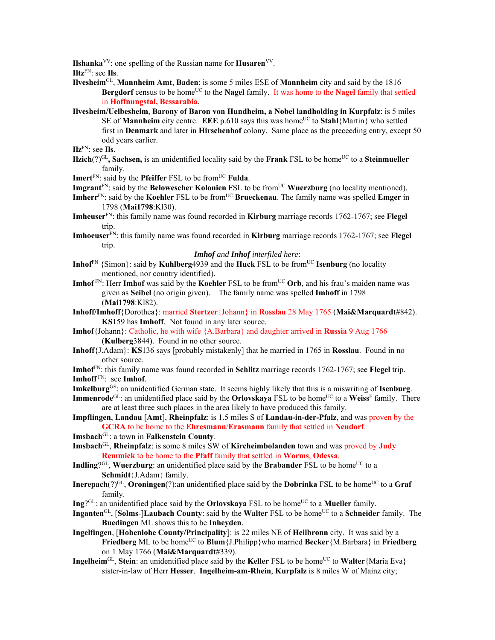**Ilshanka**<sup>VV</sup>: one spelling of the Russian name for **Husaren**<sup>VV</sup>.

**Iltz**FN: see **Ils**.

- **Ilvesheim**GL, **Mannheim Amt**, **Baden**: is some 5 miles ESE of **Mannheim** city and said by the 1816 **Bergdorf** census to be home<sup>UC</sup> to the **Nagel** family. It was home to the **Nagel** family that settled in **Hoffnungstal, Bessarabia**.
- **Ilvesheim/Uelbesheim**, **Barony of Baron von Hundheim, a Nobel landholding in Kurpfalz**: is 5 miles SE of **Mannheim** city centre. **EEE**  $p.610$  says this was home<sup>UC</sup> to **Stahl**{Martin} who settled first in **Denmark** and later in **Hirschenhof** colony. Same place as the preceeding entry, except 50 odd years earlier.

**Ilz**FN: see **Ils**.

- **Ilzich** $(?)^{GL}$ , Sachsen, is an unidentified locality said by the **Frank** FSL to be home<sup>UC</sup> to a Steinmueller family.
- **Imert**<sup>FN</sup>: said by the **Pfeiffer** FSL to be from<sup>UC</sup> **Fulda**.
- **Imgrant**<sup>FN</sup>: said by the **Belowescher Kolonien** FSL to be from<sup>UC</sup> **Wuerzburg** (no locality mentioned).
- **Imherr**<sup>FN</sup>: said by the **Koehler** FSL to be from<sup>UC</sup> **Brueckenau**. The family name was spelled **Emger** in 1798 (**Mai1798**:Kl30).
- **Imheuser**FN: this family name was found recorded in **Kirburg** marriage records 1762-1767; see **Flegel** trip.
- **Imhoeuser**FN: this family name was found recorded in **Kirburg** marriage records 1762-1767; see **Flegel** trip.

## *Imhof and Inhof interfiled here*:

- **Inhof**<sup>FN</sup> {Simon}: said by **Kuhlberg**4939 and the **Huck** FSL to be from<sup>UC</sup> **Isenburg** (no locality mentioned, nor country identified).
- **Imhof** FN: Herr **Imhof** was said by the **Koehler** FSL to be from<sup>UC</sup> Orb, and his frau's maiden name was given as **Seibel** (no origin given). The family name was spelled **Imhoff** in 1798 (**Mai1798**:Kl82).
- **Inhoff/Imhoff**{Dorothea}: married **Stertzer**{Johann} in **Rosslau** 28 May 1765 (**Mai&Marquardt**#842). **KS**159 has **Imhoff**. Not found in any later source.
- **Imhof**{Johann}: Catholic, he with wife {A.Barbara} and daughter arrived in **Russia** 9 Aug 1766 (**Kulberg**3844). Found in no other source.
- **Inhoff**{J.Adam}: **KS**136 says [probably mistakenly] that he married in 1765 in **Rosslau**. Found in no other source.
- **Imhof**FN: this family name was found recorded in **Schlitz** marriage records 1762-1767; see **Flegel** trip. **Imhoff** FN: see **Imhof**.
- **Imkelburg**GS: an unidentified German state. It seems highly likely that this is a miswriting of **Isenburg**.
- **Immenrode**<sup>GL</sup>: an unidentified place said by the **Orlovskaya** FSL to be home<sup>UC</sup> to a **Weiss**<sup>F</sup> family. There are at least three such places in the area likely to have produced this family.

**Impflingen**, **Landau** [**Amt**], **Rheinpfalz**: is 1.5 miles S of **Landau-in-der-Pfalz**, and was proven by the **GCRA** to be home to the **Ehresmann**/**Erasmann** family that settled in **Neudorf**.

- **Imsbach**GL: a town in **Falkenstein County**.
- **Imsbach**GL, **Rheinpfalz**: is some 8 miles SW of **Kircheimbolanden** town and was proved by **Judy Remmick** to be home to the **Pfaff** family that settled in **Worms**, **Odessa**.
- **Indling**?<sup>GL</sup>, **Wuerzburg**: an unidentified place said by the **Brabander** FSL to be home<sup>UC</sup> to a **Schmidt**{J.Adam} family.
- **Inerepach** $(?)^{GL}$ , **Oroningen** $(?)$ :an unidentified place said by the **Dobrinka** FSL to be home<sup>UC</sup> to a **Graf** family.
- **Ing**?<sup>GL</sup>: an unidentified place said by the **Orlovskaya** FSL to be home<sup>UC</sup> to a **Mueller** family.
- **Inganten**<sup>GL</sup>, [**Solms**-]**Laubach County**: said by the **Walter** FSL to be home<sup>UC</sup> to a **Schneider** family. The **Buedingen** ML shows this to be **Inheyden**.
- **Ingelfingen**, [**Hohenlohe County/Principality**]: is 22 miles NE of **Heilbronn** city. It was said by a **Friedberg** ML to be home<sup>UC</sup> to **Blum**{J.Philipp}who married **Becker** {M.Barbara} in **Friedberg** on 1 May 1766 (**Mai&Marquardt**#339).
- **Ingelheim**<sup>GL</sup>, **Stein**: an unidentified place said by the **Keller** FSL to be home<sup>UC</sup> to **Walter**{Maria Eva} sister-in-law of Herr **Hesser**. **Ingelheim-am-Rhein**, **Kurpfalz** is 8 miles W of Mainz city;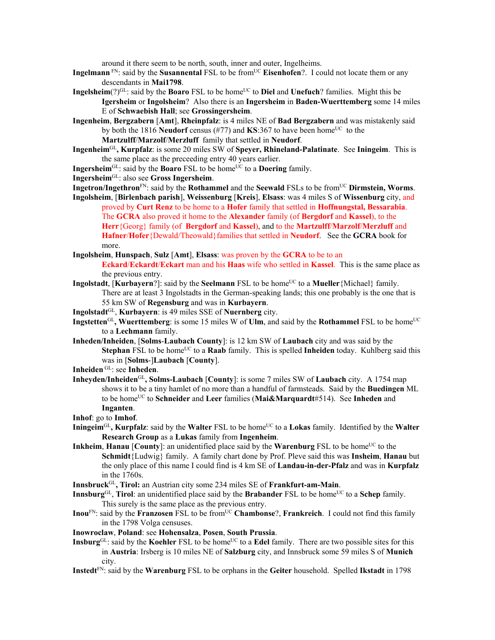around it there seem to be north, south, inner and outer, Ingelheims.

- **Ingelmann** FN: said by the **Susannental** FSL to be from<sup>UC</sup> **Eisenhofen**?. I could not locate them or any descendants in **Mai1798**.
- **Ingelsheim**(?)<sup>GL</sup>: said by the **Boaro** FSL to be home<sup>UC</sup> to **Diel** and **Unefuch**? families. Might this be **Igersheim** or **Ingolsheim**? Also there is an **Ingersheim** in **Baden-Wuerttemberg** some 14 miles E of **Schwaebish Hall**; see **Grossingersheim**.
- **Ingenheim**, **Bergzabern** [**Amt**], **Rheinpfalz**: is 4 miles NE of **Bad Bergzabern** and was mistakenly said by both the 1816 **Neudorf** census (#77) and  $\mathbf{KS}$ :367 to have been home<sup>UC</sup> to the **Martzulff**/**Marzolf**/**Merzluff** family that settled in **Neudorf**.
- **Ingenheim**GL**, Kurpfalz**: is some 20 miles SW of **Speyer, Rhineland-Palatinate**. See **Iningeim**. This is the same place as the preceeding entry 40 years earlier.
- **Ingersheim**GL: said by the **Boaro** FSL to be homeUC to a **Doering** family.
- **Ingersheim**GL: also see **Gross Ingersheim**.
- **Ingetron/Ingethron**FN: said by the **Rothammel** and the **Seewald** FSLs to be fromUC **Dirmstein, Worms**.
- **Ingolsheim**, [**Birlenbach parish**], **Weissenburg** [**Kreis**], **Elsass**: was 4 miles S of **Wissenburg** city, and proved by **Curt Renz** to be home to a **Hofer** family that settled in **Hoffnungstal, Bessarabia**. The **GCRA** also proved it home to the **Alexander** family (of **Bergdorf** and **Kassel**), to the **Herr**{Georg} family (of **Bergdorf** and **Kassel**), and to the **Martzulff**/**Marzolf**/**Merzluff** and **Hafner**/**Hofer**{Dewald/Theowald}families that settled in **Neudorf**. See the **GCRA** book for more.
- **Ingolsheim**, **Hunspach**, **Sulz** [**Amt**], **Elsass**: was proven by the **GCRA** to be to an

**Eckard**/**Eckardt**/**Eckart** man and his **Haas** wife who settled in **Kassel**. This is the same place as the previous entry.

- **Ingolstadt**, [**Kurbayern**?]: said by the **Seelmann** FSL to be home<sup>UC</sup> to a **Mueller**{Michael} family. There are at least 3 Ingolstadts in the German-speaking lands; this one probably is the one that is 55 km SW of **Regensburg** and was in **Kurbayern**.
- **Ingolstadt**GL, **Kurbayern**: is 49 miles SSE of **Nuernberg** city.
- **Ingstetten**<sup>GL</sup>, Wuerttemberg: is some 15 miles W of Ulm, and said by the Rothammel FSL to be home<sup>UC</sup> to a **Lechmann** family.
- **Inheden/Inheiden**, [**Solms**-**Laubach County**]: is 12 km SW of **Laubach** city and was said by the **Stephan** FSL to be home<sup>UC</sup> to a **Raab** family. This is spelled **Inheiden** today. Kuhlberg said this was in [**Solms**-]**Laubach** [**County**].
- **Inheiden** GL: see **Inheden**.
- **Inheyden/Inheiden**GL**, Solms-Laubach** [**County**]: is some 7 miles SW of **Laubach** city. A 1754 map shows it to be a tiny hamlet of no more than a handful of farmsteads. Said by the **Buedingen** ML to be homeUC to **Schneider** and **Leer** families (**Mai&Marquardt**#514). See **Inheden** and **Inganten**.
- **Inhof**: go to **Imhof**.
- **Iningeim**<sup>GL</sup>, **Kurpfalz**: said by the **Walter** FSL to be home<sup>UC</sup> to a **Lokas** family. Identified by the **Walter Research Group** as a **Lukas** family from **Ingenheim**.
- **Inkheim**, **Hanau** [County]: an unidentified place said by the **Warenburg** FSL to be home<sup>UC</sup> to the **Schmidt**{Ludwig} family. A family chart done by Prof. Pleve said this was **Insheim**, **Hanau** but the only place of this name I could find is 4 km SE of **Landau-in-der-Pfalz** and was in **Kurpfalz** in the 1760s.
- **Innsbruck**GL**, Tirol:** an Austrian city some 234 miles SE of **Frankfurt-am-Main**.
- **Innsburg**<sup>GL</sup>, **Tirol**: an unidentified place said by the **Brabander** FSL to be home<sup>UC</sup> to a **Schep** family. This surely is the same place as the previous entry.
- **Inou**FN: said by the **Franzosen** FSL to be from<sup>UC</sup> **Chambonse**?, **Frankreich**. I could not find this family in the 1798 Volga censuses.
- **Inowroclaw**, **Poland**: see **Hohensalza**, **Posen**, **South Prussia**.
- **Insburg**GL: said by the **Koehler** FSL to be home<sup>UC</sup> to a **Edel** family. There are two possible sites for this in **Austria**: Irsberg is 10 miles NE of **Salzburg** city, and Innsbruck some 59 miles S of **Munich** city.
- **Instedt**FN: said by the **Warenburg** FSL to be orphans in the **Geiter** household. Spelled **Ikstadt** in 1798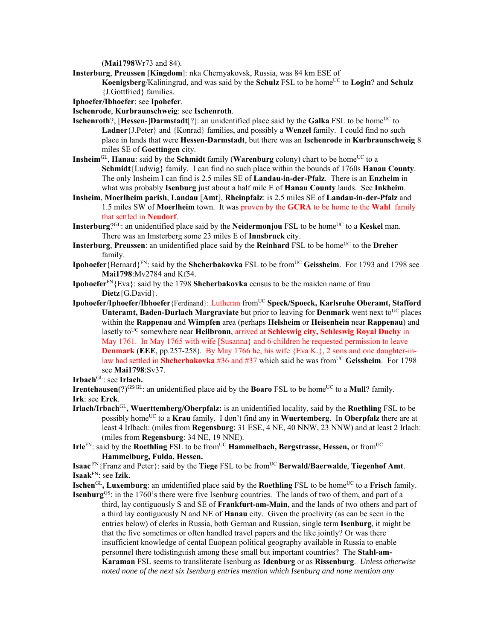(**Mai1798**Wr73 and 84).

**Insterburg**, **Preussen** [**Kingdom**]: nka Chernyakovsk, Russia, was 84 km ESE of

**Koenigsberg/Kaliningrad, and was said by the <b>Schulz** FSL to be home<sup>UC</sup> to **Login**? and **Schulz** {J.Gottfried} families.

**Iphoefer/Ibhoefer**: see **Ipohefer**.

**Ischenrode**, **Kurbraunschweig**: see **Ischenroth**.

- **Ischenroth**?, [Hessen-]Darmstadt<sup>[?]</sup>: an unidentified place said by the Galka FSL to be home<sup>UC</sup> to **Ladner**{J.Peter} and {Konrad} families, and possibly a **Wenzel** family. I could find no such place in lands that were **Hessen-Darmstadt**, but there was an **Ischenrode** in **Kurbraunschweig** 8 miles SE of **Goettingen** city.
- **Insheim**<sup>GL</sup>, **Hanau**: said by the **Schmidt** family (**Warenburg** colony) chart to be home<sup>UC</sup> to a **Schmidt**{Ludwig} family. I can find no such place within the bounds of 1760s **Hanau County**. The only Insheim I can find is 2.5 miles SE of **Landau-in-der-Pfalz**. There is an **Enzheim** in what was probably **Isenburg** just about a half mile E of **Hanau County** lands. See **Inkheim**.
- **Insheim**, **Moerlheim parish**, **Landau** [**Amt**], **Rheinpfalz**: is 2.5 miles SE of **Landau-in-der-Pfalz** and 1.5 miles SW of **Moerlheim** town. It was proven by the **GCRA** to be home to the **Wahl** family that settled in **Neudorf**.
- **Insterburg**?<sup>GL</sup>: an unidentified place said by the **Neidermonjou** FSL to be home<sup>UC</sup> to a **Keskel** man. There was an Imsterberg some 23 miles E of **Innsbruck** city.
- **Insterburg, Preussen**: an unidentified place said by the **Reinhard** FSL to be home<sup>UC</sup> to the **Dreher** family.
- **Ipohoefer**{Bernard}<sup>FN</sup>: said by the **Shcherbakovka** FSL to be from<sup>UC</sup> Geissheim. For 1793 and 1798 see **Mai1798**:Mv2784 and Kf54.
- **Ipohoefer**FN{Eva}: said by the 1798 **Shcherbakovka** census to be the maiden name of frau **Dietz**{G.David}.
- **Ipohoefer/Iphoefer/Ibhoefer**{Ferdinand}: Lutheran fromUC **Speck/Spoeck, Karlsruhe Oberamt, Stafford Unteramt, Baden-Durlach Margraviate** but prior to leaving for **Denmark** went next to<sup>UC</sup> places within the **Rappenau** and **Wimpfen** area (perhaps **Helsheim** or **Heisenhein** near **Rappenau**) and lasetly to<sup>UC</sup> somewhere near **Heilbronn**, arrived at **Schleswig city, Schleswig Royal Duchy** in May 1761. In May 1765 with wife [Susanna} and 6 children he requested permission to leave **Denmark** (**EEE**, pp.257-258). By May 1766 he, his wife {Eva K.}, 2 sons and one daughter-inlaw had settled in **Shcherbakovka** #36 and #37 which said he was from<sup>UC</sup> Geissheim. For 1798 see **Mai1798**:Sv37.
- **Irbach**<sup>GL</sup>: see **Irlach.**

**Irentehausen**(?) $GSGGL$ : an unidentified place aid by the **Boaro** FSL to be home<sup>UC</sup> to a **Mull**? family. **Irk**: see **Erck**.

- **Irlach/Irbach**GL**, Wuerttemberg/Oberpfalz:** is an unidentified locality, said by the **Roethling** FSL to be possibly homeUC to a **Krau** family. I don't find any in **Wuertemberg**. In **Oberpfalz** there are at least 4 Irlbach: (miles from **Regensburg**: 31 ESE, 4 NE, 40 NNW, 23 NNW) and at least 2 Irlach: (miles from **Regensburg**: 34 NE, 19 NNE).
- **Irle**<sup>FN</sup>: said by the **Roethling** FSL to be from<sup>UC</sup> **Hammelbach, Bergstrasse, Hessen,** or from<sup>UC</sup> **Hammelburg, Fulda, Hessen.**

**Isaac** FN{Franz and Peter}: said by the **Tiege** FSL to be from<sup>UC</sup> **Berwald/Baerwalde**, **Tiegenhof Amt**. **Isaak**FN: see **Izik**.

**Ischen**<sup>GL</sup>, **Luxemburg**: an unidentified place said by the **Roethling** FSL to be home<sup>UC</sup> to a Frisch family. **Isenburg**GS: in the 1760's there were five Isenburg countries. The lands of two of them, and part of a

third, lay contiguously S and SE of **Frankfurt-am-Main**, and the lands of two others and part of a third lay contiguously N and NE of **Hanau** city. Given the proclivity (as can be seen in the entries below) of clerks in Russia, both German and Russian, single term **Isenburg**, it might be that the five sometimes or often handled travel papers and the like jointly? Or was there insufficient knowledge of cental Euopean political geography available in Russia to enable personnel there todistinguish among these small but important countries? The **Stahl-am-Karaman** FSL seems to transliterate Isenburg as **Idenburg** or as **Rissenburg**.*Unless otherwise noted none of the next six Isenburg entries mention which Isenburg and none mention any*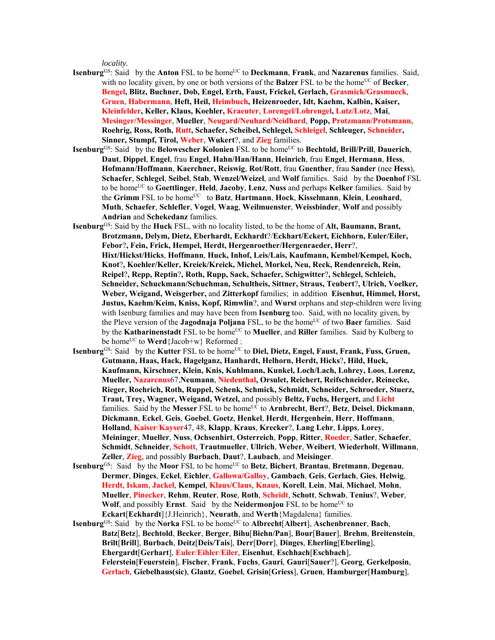*locality.*

- **Isenburg**<sup>GS</sup>: Said by the **Anton** FSL to be home<sup>UC</sup> to **Deckmann**, **Frank**, and **Nazarenus** families. Said, with no locality given, by one or both versions of the **Balzer** FSL to be the home<sup>UC</sup> of **Becker**, **Bengel, Blitz, Buchner, Dob, Engel, Erth, Faust, Frickel, Gerlach, Grasmick/Grasmueck**, **Gruen**, **Habermann**, **Heft, Heil, Heimbuch, Heizenroeder, Idt, Kaehm, Kalbin, Kaiser, Kleinfelder, Keller, Klaus, Koehler, Kraeuter**, **Lorengel/Lohrengel, Lutz/Lotz**, **Mai**, **Mesinger/Messinger**, **Mueller**, **Neugard/Neuhard/Neidhard**, **Popp, Protzmann/Protsmann**, **Roehrig, Ross, Roth, Rutt, Schaefer, Scheibel, Schlegel, Schleigel**, **Schleuger, Schneider, Sinner, Stumpf, Tirol, Weber**, **Wukert**?, and **Zieg** families.
- **Isenburg**<sup>GS</sup>: Said by the **Belowescher Kolonien** FSL to be home<sup>UC</sup> to **Bechtold, Brill/Prill, Dauerich**, **Daut**, **Dippel**, **Engel**, frau **Engel**, **Hahn/Han/Hann**, **Heinrich**, frau **Engel**, **Hermann**, **Hess**, **Hofmann/Hoffmann**, **Kaerchner, Reiswig**, **Rot/Rott**, frau **Guenther**, frau **Sander** (nee **Hess**), **Schaefer**, **Schlegel**, **Seibel**, **Stab**, **Wenzel/Weizel**, and **Wolf** families. Said by the **Doenhof** FSL to be homeUC to **Goettlinger**, **Held**, **Jacoby**, **Lenz**, **Nuss** and perhaps **Kelker** families. Said by the **Grimm** FSL to be home<sup>UC</sup> to **Batz**, **Hartmann**, **Hock**, **Kisselmann**, **Klein**, **Leonhard**, **Muth**, **Schaefer**, **Schlefler**, **Vogel**, **Waag**, **Weilmuenster**, **Weissbinder**, **Wolf** and possibly **Andrian** and **Schekedanz** families.
- **Isenburg**GS: Said by the **Huck** FSL, with no locality listed, to be the home of **Alt, Baumann, Brant, Brotzmann, Delym, Dietz, Eberhardt, Eckhardt**?/**Eckhart/Eckert, Eichhorn, Euler/Eiler, Febor**?**, Fein, Frick, Hempel, Herdt, Hergenroether/Hergenraeder, Herr**?, **Hixt/Hickst/Hicks**, **Hoffmann**, **Huck, Inhof, Leis/Lais, Kaufmann, Kembel/Kempel, Koch, Knot**?**, Koehler/Keller, Kreiek/Kreick, Michel, Morkel, Neu, Reck, Rendenreich, Rein, Reipel**?**, Repp, Reptin**?**, Roth, Rupp, Sack, Schaefer, Schigwitter**?**, Schlegel, Schleich, Schneider, Schuckmann/Schuchman, Schultheis, Sittner, Straus, Teubert**?**, Ulrich, Voelker, Weber, Weigand, Weisgerber,** and **Zitterkopf** families; in addition **Eisenhut, Himmel, Horst, Justus, Kaehm/Keim, Kniss, Kopf, Rimwlin**?, and **Wurst** orphans and step-children were living with Isenburg families and may have been from **Isenburg** too. Said, with no locality given, by the Pleve version of the **Jagodnaja Poljana** FSL, to be the home<sup>UC</sup> of two **Baer** families. Said by the **Katharinenstadt** FSL to be home<sup>UC</sup> to **Mueller**, and **Riller** families. Said by Kulberg to be home<sup>UC</sup> to **Werd**{Jacob+w} Reformed ;
- **Isenburg**<sup>GS</sup>: Said by the **Kutter** FSL to be home<sup>UC</sup> to **Diel, Dietz, Engel, Faust, Frank, Fuss, Gruen, Gutmann, Haas, Hack, Hagelganz, Hanhardt, Helhorn, Herdt, Hicks**?**, Hild, Huck, Kaufmann, Kirschner, Klein, Knis, Kuhlmann, Kunkel, Loch/Lach, Lohrey, Loos**, **Lorenz, Mueller, Nazarenus**67,**Neumann**, **Niedenthal, Orsulet, Reichert, Reifschneider, Reinecke, Rieger, Roehrich, Roth, Ruppel, Schenk, Schmick, Schmidt, Schneider, Schroeder, Stuerz, Traut, Trey, Wagner, Weigand, Wetzel,** and possibly **Beltz, Fuchs, Hergert,** and **Licht** families. Said by the Messer FSL to be home<sup>UC</sup> to Arnbrecht, Bert?, Betz, Deisel, Dickmann, **Dickmann**, **Eckel**, **Geis**, **Goebel**, **Goetz**, **Henkel**, **Herdt**, **Hergenhein**, **Herr**, **Hoffmann**, **Holland**, **Kaiser**/**Kayser**47, 48, **Klapp**, **Kraus**, **Krecker**?, **Lang Lehr**, **Lipps**, **Lorey**, **Meininger**, **Mueller**, **Nuss**, **Ochsenhirt**, **Osterreich**, **Popp**, **Ritter**, **Roeder**, **Satler**, **Schaefer**, **Schmidt**, **Schneider**, **Schott**, **Trautmueller**, **Ullrich**, **Weber**, **Weibert**, **Wiederholt**, **Willmann**, **Zeller**, **Zieg**, and possibly **Burbach**, **Daut**?, **Laubach**, and **Meisinger**.
- **Isenburg**<sup>GS</sup>: Said by the **Moor** FSL to be home<sup>UC</sup> to **Betz**, **Bichert**, **Brantau**, **Bretmann**, **Degenau**, **Dermer**, **Dinges**, **Eckel**, **Eichler**, **Gallowa/Galloy**, **Gambach**, **Geis**, **Gerlach**, **Gies**, **Helwig**, **Herdt**, **Iskam**, **Jackel**, **Kempel**, **Klaus/Claus**, **Knaus**, **Korell**, **Lein**, **Mai**, **Michael**, **Mohn**, **Mueller**, **Pinecker**, **Rehm**, **Reuter**, **Rose**, **Roth**, **Scheidt**, **Schott**, **Schwab**, **Tenius**?, **Weber**, **Wolf**, and possibly **Ernst**. Said by the **Neidermonjou** FSL to be home<sup>UC</sup> to **Eckart**[**Eckhardt**]{J.Heinrich}, **Neurath**, and **Werth**{Magdalena} families.
- **Isenburg**<sup>GS</sup>: Said by the **Norka** FSL to be home<sup>UC</sup> to **Albrecht**[Albert], **Aschenbrenner**, **Bach**, **Batz**[**Betz**], **Bechtold**, **Becker**, **Berger**, **Bihu**[**Biehn/Pan**], **Bour**[**Bauer**], **Brehm**, **Breitenstein**, **Brilt**[**Brill**], **Burbach**, **Deitz**[**Deis/Tais**], **Derr**[**Dorr**], **Dinges**, **Eherling**[**Eberling**], **Ehergardt**[**Gerhart**], **Euler**/**Eihler**/**Eiler**, **Eisenhut**, **Eschhach**[**Eschbach**], **Felerstein**[**Feuerstein**], **Fischer**, **Frank**, **Fuchs**, **Gauri**, **Gauri**[**Sauer**?], **Georg**, **Gerkelposin**, **Gerlach**, **Giebelhaus(sic)**, **Glantz**, **Goebel**, **Grisin**[**Griess**], **Gruen**, **Hamburger**[**Hamburg**],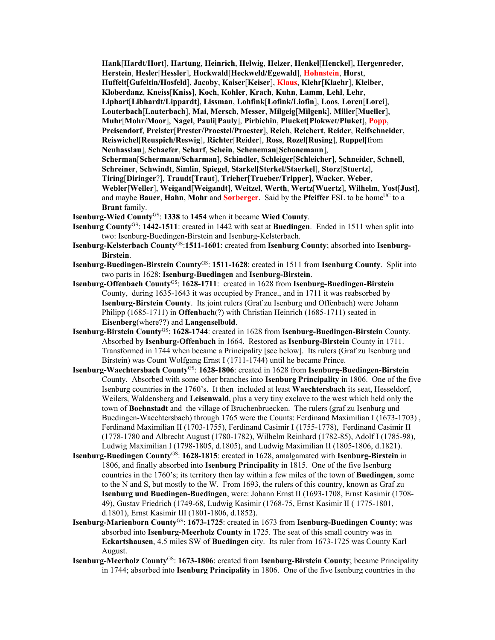**Hank**[**Hardt**/**Hort**], **Hartung**, **Heinrich**, **Helwig**, **Helzer**, **Henkel**[**Henckel**], **Hergenreder**, **Herstein**, **Hesler**[**Hessler**], **Hockwald**[**Heckweld/Egewald**], **Hohnstein**, **Horst**, **Huffelt**[**Gufeltin/Hosfeld**], **Jacoby**, **Kaiser**[**Keiser**], **Klaus**, **Klehr**[**Klaehr**], **Kleiber**, **Kloberdanz**, **Kneiss**[**Kniss**], **Koch**, **Kohler**, **Krach**, **Kuhn**, **Lamm**, **Lehl**, **Lehr**, **Liphart**[**Libhardt/Lippardt**], **Lissman**, **Lohfink**[**Lofink/Liofin**], **Loos**, **Loren**[**Lorei**], **Louterbach**[**Lauterbach**], **Mai**, **Mersch**, **Messer**, **Milgeig**[**Milgenk**], **Miller**[**Mueller**], **Muhr**[**Mohr/Moor**], **Nagel**, **Pauli**[**Pauly**], **Pirbichin**, **Plucket**[**Plokwet/Pluket**], **Popp**, **Preisendorf**, **Preister**[**Prester/Proestel/Proester**], **Reich**, **Reichert**, **Reider**, **Reifschneider**, **Reiswichel**[**Reuspich/Reswig**], **Richter**[**Reider**], **Ross**, **Rozel**[**Rusing**], **Ruppel**[from **Neuhasslau**], **Schaefer**, **Scharf**, **Schein**, **Scheneman**[**Schonemann**], **Scherman**[**Schermann/Scharman**], **Schindler**, **Schleiger**[**Schleicher**], **Schneider**, **Schnell**, **Schreiner**, **Schwindt**, **Simlin**, **Spiegel**, **Starkel**[**Sterkel/Staerkel**], **Storz**[**Stuertz**], **Tiring**[**Diringer**?], **Traudt**[**Traut**], **Trieher**[**Trueber/Tripper**], **Wacker**, **Weber**, **Webler**[**Weller**], **Weigand**[**Weigandt**], **Weitzel**, **Werth**, **Wertz**[**Wuertz**], **Wilhelm**, **Yost**[**Just**], and maybe **Bauer**, **Hahn**, **Mohr** and **Sorberger**. Said by the **Pfeiffer** FSL to be home<sup>UC</sup> to a **Brant** family.

- **Isenburg-Wied County**GS: **1338** to **1454** when it became **Wied County**.
- **Isenburg County**GS: **1442-1511**: created in 1442 with seat at **Buedingen**. Ended in 1511 when split into two: Isenburg-Buedingen-Birstein and Isenburg-Kelsterbach.
- **Isenburg-Kelsterbach County**GS:**1511-1601**: created from **Isenburg County**; absorbed into **Isenburg-Birstein**.
- **Isenburg-Buedingen-Birstein County**GS: **1511-1628**: created in 1511 from **Isenburg County**. Split into two parts in 1628: **Isenburg-Buedingen** and **Isenburg-Birstein**.
- **Isenburg-Offenbach County**GS: **1628-1711**: created in 1628 from **Isenburg-Buedingen-Birstein** County, during 1635-1643 it was occupied by France., and in 1711 it was reabsorbed by **Isenburg-Birstein County**. Its joint rulers (Graf zu Isenburg und Offenbach) were Johann Philipp (1685-1711) in **Offenbach**(?) with Christian Heinrich (1685-1711) seated in **Eisenberg**(where??) and **Langenselbold**.
- **Isenburg-Birstein County**GS: **1628-1744**: created in 1628 from **Isenburg-Buedingen-Birstein** County. Absorbed by **Isenburg-Offenbach** in 1664. Restored as **Isenburg-Birstein** County in 1711. Transformed in 1744 when became a Principality [see below]. Its rulers (Graf zu Isenburg und Birstein) was Count Wolfgang Ernst I (1711-1744) until he became Prince.
- **Isenburg-Waechtersbach County**GS: **1628-1806**: created in 1628 from **Isenburg-Buedingen-Birstein** County. Absorbed with some other branches into **Isenburg Principality** in 1806. One of the five Isenburg countries in the 1760's. It then included at least **Waechtersbach** its seat, Hesseldorf, Weilers, Waldensberg and **Leisenwald**, plus a very tiny exclave to the west which held only the town of **Boehnstadt** and the village of Bruchenbruecken. The rulers (graf zu Isenburg und Buedingen-Waechtersbach) through 1765 were the Counts: Ferdinand Maximilian I (1673-1703) , Ferdinand Maximilian II (1703-1755), Ferdinand Casimir I (1755-1778), Ferdinand Casimir II (1778-1780 and Albrecht August (1780-1782), Wilhelm Reinhard (1782-85), Adolf I (1785-98), Ludwig Maximilian I (1798-1805, d.1805), and Ludwig Maximilian II (1805-1806, d.1821).
- **Isenburg-Buedingen County**GS: **1628-1815**: created in 1628, amalgamated with **Isenburg-Birstein** in 1806, and finally absorbed into **Isenburg Principality** in 1815. One of the five Isenburg countries in the 1760's; its territory then lay within a few miles of the town of **Buedingen**, some to the N and S, but mostly to the W. From 1693, the rulers of this country, known as Graf zu **Isenburg und Buedingen-Buedingen**, were: Johann Ernst II (1693-1708, Ernst Kasimir (1708- 49), Gustav Friedrich (1749-68, Ludwig Kasimir (1768-75, Ernst Kasimir II ( 1775-1801, d.1801), Ernst Kasimir III (1801-1806, d.1852).
- **Isenburg-Marienborn County<sup>GS</sup>: 1673-1725**: created in 1673 from **Isenburg-Buedingen County**; was absorbed into **Isenburg-Meerholz County** in 1725. The seat of this small country was in **Eckartshausen**, 4.5 miles SW of **Buedingen** city. Its ruler from 1673-1725 was County Karl August.
- **Isenburg-Meerholz County**GS: **1673-1806**: created from **Isenburg-Birstein County**; became Principality in 1744; absorbed into **Isenburg Principality** in 1806. One of the five Isenburg countries in the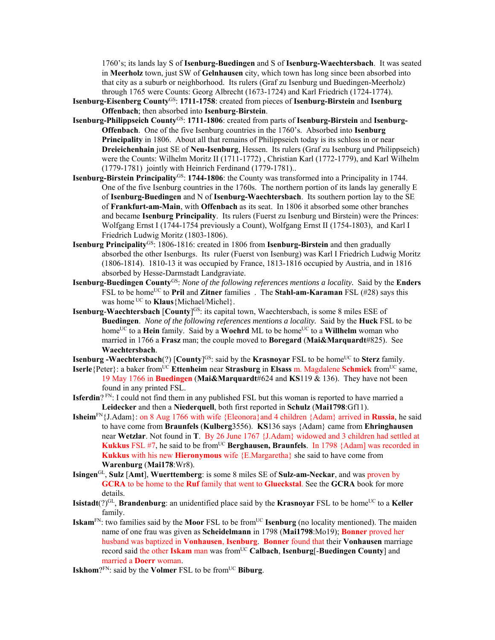1760's; its lands lay S of **Isenburg-Buedingen** and S of **Isenburg-Waechtersbach**. It was seated in **Meerholz** town, just SW of **Gelnhausen** city, which town has long since been absorbed into that city as a suburb or neighborhood. Its rulers (Graf zu Isenburg und Buedingen-Meerholz) through 1765 were Counts: Georg Albrecht (1673-1724) and Karl Friedrich (1724-1774).

- **Isenburg-Eisenberg County**GS: **1711-1758**: created from pieces of **Isenburg-Birstein** and **Isenburg Offenbach**; then absorbed into **Isenburg**-**Birstein**.
- **Isenburg-Philippseich County**GS: **1711-1806**: created from parts of **Isenburg-Birstein** and **Isenburg-Offenbach**. One of the five Isenburg countries in the 1760's. Absorbed into **Isenburg Principality** in 1806. About all that remains of Philippseich today is its schloss in or near **Dreieichenhain** just SE of **Neu-Isenburg**, Hessen. Its rulers (Graf zu Isenburg und Philippseich) were the Counts: Wilhelm Moritz II (1711-1772) , Christian Karl (1772-1779), and Karl Wilhelm (1779-1781) jointly with Heinrich Ferdinand (1779-1781)..
- **Isenburg-Birstein Principality**<sup>GS</sup>: 1744-1806: the County was transformed into a Principality in 1744. One of the five Isenburg countries in the 1760s. The northern portion of its lands lay generally E of **Isenburg-Buedingen** and N of **Isenburg-Waechtersbach**. Its southern portion lay to the SE of **Frankfurt-am-Main**, with **Offenbach** as its seat. In 1806 it absorbed some other branches and became **Isenburg Principality**. Its rulers (Fuerst zu Isenburg und Birstein) were the Princes: Wolfgang Ernst I (1744-1754 previously a Count), Wolfgang Ernst II (1754-1803), and Karl I Friedrich Ludwig Moritz (1803-1806).
- **Isenburg Principality**<sup>GS</sup>: 1806-1816: created in 1806 from **Isenburg-Birstein** and then gradually absorbed the other Isenburgs. Its ruler (Fuerst von Isenburg) was Karl I Friedrich Ludwig Moritz (1806-1814). 1810-13 it was occupied by France, 1813-1816 occupied by Austria, and in 1816 absorbed by Hesse-Darmstadt Landgraviate.
- **Isenburg-Buedingen County**GS: *None of the following references mentions a locality.* Said by the **Enders** FSL to be homeUC to **Pril** and **Zitner** families . The **Stahl-am-Karaman** FSL (#28) says this was home UC to **Klaus**{Michael/Michel}.
- **Isenburg-Waechtersbach [County]<sup>GS</sup>:** its capital town, Waechtersbach, is some 8 miles ESE of **Buedingen**. *None of the following references mentions a locality.* Said by the **Huck** FSL to be home<sup>UC</sup> to a **Hein** family. Said by a **Woehrd** ML to be home<sup>UC</sup> to a **Willhelm** woman who married in 1766 a **Frasz** man; the couple moved to **Boregard** (**Mai&Marquardt**#825). See **Waechtersbach**.
- **Isenburg -Waechtersbach**(?) [County]<sup>GS</sup>: said by the **Krasnoyar** FSL to be home<sup>UC</sup> to **Sterz** family.
- **Iserle**{Peter}: a baker from<sup>UC</sup> **Ettenheim** near **Strasburg** in **Elsass** m. Magdalene **Schmick** from<sup>UC</sup> same, 19 May 1766 in **Buedingen** (**Mai&Marquardt**#624 and **KS**119 & 136). They have not been found in any printed FSL.
- **Isferdin**? FN: I could not find them in any published FSL but this woman is reported to have married a **Leidecker** and then a **Niederquell**, both first reported in **Schulz** (**Mai1798**:Gf11).
- **Isheim**FN{J.Adam}: on 8 Aug 1766 with wife {Eleonora}and 4 children {Adam} arrived in **Russia**, he said to have come from **Braunfels** (**Kulberg**3556). **KS**136 says {Adam} came from **Ehringhausen**  near **Wetzlar**. Not found in **T**. By 26 June 1767 {J.Adam} widowed and 3 children had settled at **Kukkus** FSL #7, he said to be from<sup>UC</sup> **Berghausen, Braunfels**. In 1798 {Adam] was recorded in **Kukkus** with his new **Hieronymous** wife {E.Margaretha} she said to have come from **Warenburg** (**Mai178**:Wr8).
- **Isingen**GL, **Sulz** [**Amt**], **Wuerttemberg**: is some 8 miles SE of **Sulz-am-Neckar**, and was proven by **GCRA** to be home to the **Ruf** family that went to **Glueckstal**. See the **GCRA** book for more details.
- **Isistadt**( $?$ )<sup>GL</sup>, **Brandenburg**: an unidentified place said by the **Krasnoyar** FSL to be home<sup>UC</sup> to a **Keller** family.
- **Iskam**<sup>FN</sup>: two families said by the **Moor** FSL to be from<sup>UC</sup> **Isenburg** (no locality mentioned). The maiden name of one frau was given as **Scheidelmann** in 1798 (**Mai1798**:Mo19); **Bonner** proved her husband was baptized in **Vonhausen**, **Isenburg**. **Bonner** found that their **Vonhausen** marriage record said the other Iskam man was from<sup>UC</sup> Calbach, Isenburg[-Buedingen County] and married a **Doerr** woman.
- **Iskhom**?FN: said by the **Volmer** FSL to be from<sup>UC</sup> **Biburg**.